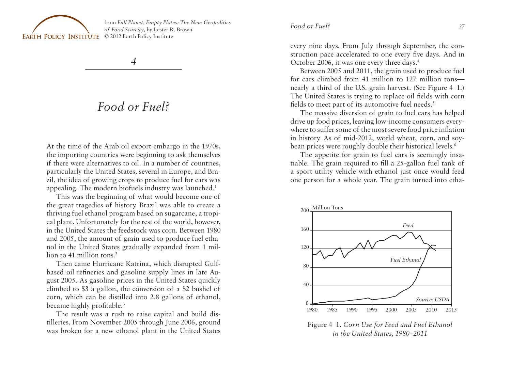

from *[Full Planet, Empty Plates: The New Geopolitics](http://www.earth-policy.org) of Food Scarcity*, by Lester R. Brown

*4*

## *Food or Fuel?*

At the time of the Arab oil export embargo in the 1970s, the importing countries were beginning to ask themselves if there were alternatives to oil. In a number of countries, particularly the United States, several in Europe, and Brazil, the idea of growing crops to produce fuel for cars was appealing. The modern biofuels industry was launched.<sup>1</sup>

This was the beginning of what would become one of the great tragedies of history. Brazil was able to create a thriving fuel ethanol program based on sugarcane, a tropical plant. Unfortunately for the rest of the world, however, in the United States the feedstock was corn. Between 1980 and 2005, the amount of grain used to produce fuel ethanol in the United States gradually expanded from 1 million to 41 million tons.<sup>2</sup>

Then came Hurricane Katrina, which disrupted Gulfbased oil refineries and gasoline supply lines in late August 2005. As gasoline prices in the United States quickly climbed to \$3 a gallon, the conversion of a \$2 bushel of corn, which can be distilled into 2.8 gallons of ethanol, became highly profitable.<sup>3</sup>

The result was a rush to raise capital and build distilleries. From November 2005 through June 2006, ground was broken for a new ethanol plant in the United States *Food or Fuel? 37*

every nine days. From July through September, the construction pace accelerated to one every five days. And in October 2006, it was one every three days.<sup>4</sup>

Between 2005 and 2011, the grain used to produce fuel for cars climbed from 41 million to 127 million tons nearly a third of the U.S. grain harvest. (See Figure 4–1.) The United States is trying to replace oil fields with corn fields to meet part of its automotive fuel needs.<sup>5</sup>

The massive diversion of grain to fuel cars has helped drive up food prices, leaving low-income consumers everywhere to suffer some of the most severe food price inflation in history. As of mid-2012, world wheat, corn, and soybean prices were roughly double their historical levels.<sup>6</sup>

The appetite for grain to fuel cars is seemingly insatiable. The grain required to fill a 25-gallon fuel tank of a sport utility vehicle with ethanol just once would feed one person for a whole year. The grain turned into etha-

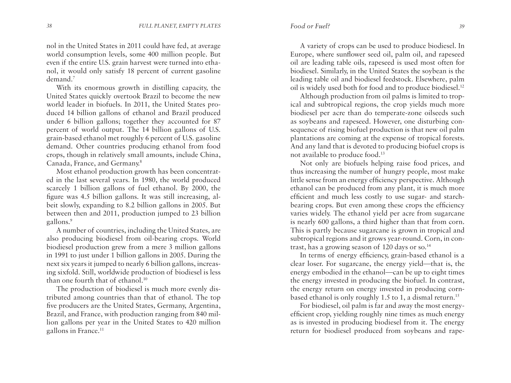nol in the United States in 2011 could have fed, at average world consumption levels, some 400 million people. But even if the entire U.S. grain harvest were turned into ethanol, it would only satisfy 18 percent of current gasoline demand.7

With its enormous growth in distilling capacity, the United States quickly overtook Brazil to become the new world leader in biofuels. In 2011, the United States produced 14 billion gallons of ethanol and Brazil produced under 6 billion gallons; together they accounted for 87 percent of world output. The 14 billion gallons of U.S. grain-based ethanol met roughly 6 percent of U.S. gasoline demand. Other countries producing ethanol from food crops, though in relatively small amounts, include China, Canada, France, and Germany.8

Most ethanol production growth has been concentrated in the last several years. In 1980, the world produced scarcely 1 billion gallons of fuel ethanol. By 2000, the figure was 4.5 billion gallons. It was still increasing, albeit slowly, expanding to 8.2 billion gallons in 2005. But between then and 2011, production jumped to 23 billion gallons.<sup>9</sup>

A number of countries, including the United States, are also producing biodiesel from oil-bearing crops. World biodiesel production grew from a mere 3 million gallons in 1991 to just under 1 billion gallons in 2005. During the next six years it jumped to nearly 6 billion gallons, increasing sixfold. Still, worldwide production of biodiesel is less than one fourth that of ethanol.<sup>10</sup>

The production of biodiesel is much more evenly distributed among countries than that of ethanol. The top five producers are the United States, Germany, Argentina, Brazil, and France, with production ranging from 840 million gallons per year in the United States to 420 million gallons in France.<sup>11</sup>

A variety of crops can be used to produce biodiesel. In Europe, where sunflower seed oil, palm oil, and rapeseed oil are leading table oils, rapeseed is used most often for biodiesel. Similarly, in the United States the soybean is the leading table oil and biodiesel feedstock. Elsewhere, palm oil is widely used both for food and to produce biodiesel.<sup>12</sup>

Although production from oil palms is limited to tropical and subtropical regions, the crop yields much more biodiesel per acre than do temperate-zone oilseeds such as soybeans and rapeseed. However, one disturbing consequence of rising biofuel production is that new oil palm plantations are coming at the expense of tropical forests. And any land that is devoted to producing biofuel crops is not available to produce food.13

Not only are biofuels helping raise food prices, and thus increasing the number of hungry people, most make little sense from an energy efficiency perspective. Although ethanol can be produced from any plant, it is much more efficient and much less costly to use sugar- and starchbearing crops. But even among these crops the efficiency varies widely. The ethanol yield per acre from sugarcane is nearly 600 gallons, a third higher than that from corn. This is partly because sugarcane is grown in tropical and subtropical regions and it grows year-round. Corn, in contrast, has a growing season of  $120$  days or so.<sup>14</sup>

In terms of energy efficiency, grain-based ethanol is a clear loser. For sugarcane, the energy yield—that is, the energy embodied in the ethanol—can be up to eight times the energy invested in producing the biofuel. In contrast, the energy return on energy invested in producing cornbased ethanol is only roughly 1.5 to 1, a dismal return.<sup>15</sup>

For biodiesel, oil palm is far and away the most energyefficient crop, yielding roughly nine times as much energy as is invested in producing biodiesel from it. The energy return for biodiesel produced from soybeans and rape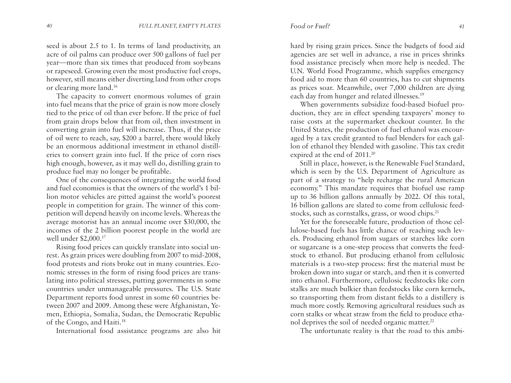seed is about 2.5 to 1. In terms of land productivity, an acre of oil palms can produce over 500 gallons of fuel per year—more than six times that produced from soybeans or rapeseed. Growing even the most productive fuel crops, however, still means either diverting land from other crops or clearing more land.16

The capacity to convert enormous volumes of grain into fuel means that the price of grain is now more closely tied to the price of oil than ever before. If the price of fuel from grain drops below that from oil, then investment in converting grain into fuel will increase. Thus, if the price of oil were to reach, say, \$200 a barrel, there would likely be an enormous additional investment in ethanol distilleries to convert grain into fuel. If the price of corn rises high enough, however, as it may well do, distilling grain to produce fuel may no longer be profitable.

One of the consequences of integrating the world food and fuel economies is that the owners of the world's 1 billion motor vehicles are pitted against the world's poorest people in competition for grain. The winner of this competition will depend heavily on income levels. Whereas the average motorist has an annual income over \$30,000, the incomes of the 2 billion poorest people in the world are well under \$2,000.17

Rising food prices can quickly translate into social unrest. As grain prices were doubling from 2007 to mid-2008, food protests and riots broke out in many countries. Economic stresses in the form of rising food prices are translating into political stresses, putting governments in some countries under unmanageable pressures. The U.S. State Department reports food unrest in some 60 countries between 2007 and 2009. Among these were Afghanistan, Yemen, Ethiopia, Somalia, Sudan, the Democratic Republic of the Congo, and Haiti.18

International food assistance programs are also hit

hard by rising grain prices. Since the budgets of food aid agencies are set well in advance, a rise in prices shrinks food assistance precisely when more help is needed. The U.N. World Food Programme, which supplies emergency food aid to more than 60 countries, has to cut shipments as prices soar. Meanwhile, over 7,000 children are dying each day from hunger and related illnesses.<sup>19</sup>

When governments subsidize food-based biofuel production, they are in effect spending taxpayers' money to raise costs at the supermarket checkout counter. In the United States, the production of fuel ethanol was encouraged by a tax credit granted to fuel blenders for each gallon of ethanol they blended with gasoline. This tax credit expired at the end of 2011.<sup>20</sup>

Still in place, however, is the Renewable Fuel Standard, which is seen by the U.S. Department of Agriculture as part of a strategy to "help recharge the rural American economy." This mandate requires that biofuel use ramp up to 36 billion gallons annually by 2022. Of this total, 16 billion gallons are slated to come from cellulosic feedstocks, such as cornstalks, grass, or wood chips.<sup>21</sup>

Yet for the foreseeable future, production of those cellulose-based fuels has little chance of reaching such levels. Producing ethanol from sugars or starches like corn or sugarcane is a one-step process that converts the feedstock to ethanol. But producing ethanol from cellulosic materials is a two-step process: first the material must be broken down into sugar or starch, and then it is converted into ethanol. Furthermore, cellulosic feedstocks like corn stalks are much bulkier than feedstocks like corn kernels, so transporting them from distant fields to a distillery is much more costly. Removing agricultural residues such as corn stalks or wheat straw from the field to produce ethanol deprives the soil of needed organic matter.<sup>22</sup>

The unfortunate reality is that the road to this ambi-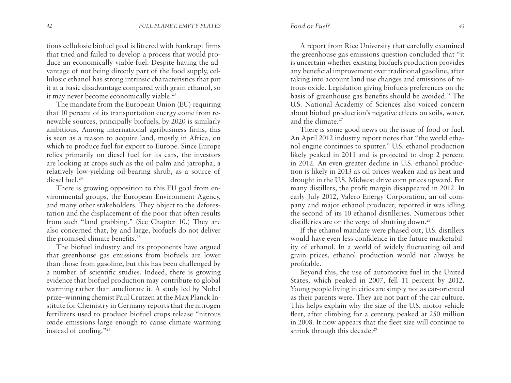tious cellulosic biofuel goal is littered with bankrupt firms that tried and failed to develop a process that would produce an economically viable fuel. Despite having the advantage of not being directly part of the food supply, cellulosic ethanol has strong intrinsic characteristics that put it at a basic disadvantage compared with grain ethanol, so it may never become economically viable.<sup>23</sup>

The mandate from the European Union (EU) requiring that 10 percent of its transportation energy come from renewable sources, principally biofuels, by 2020 is similarly ambitious. Among international agribusiness firms, this is seen as a reason to acquire land, mostly in Africa, on which to produce fuel for export to Europe. Since Europe relies primarily on diesel fuel for its cars, the investors are looking at crops such as the oil palm and jatropha, a relatively low-yielding oil-bearing shrub, as a source of diesel fuel.24

There is growing opposition to this EU goal from environmental groups, the European Environment Agency, and many other stakeholders. They object to the deforestation and the displacement of the poor that often results from such "land grabbing." (See Chapter 10.) They are also concerned that, by and large, biofuels do not deliver the promised climate benefits.<sup>25</sup>

The biofuel industry and its proponents have argued that greenhouse gas emissions from biofuels are lower than those from gasoline, but this has been challenged by a number of scientific studies. Indeed, there is growing evidence that biofuel production may contribute to global warming rather than ameliorate it. A study led by Nobel prize–winning chemist Paul Crutzen at the Max Planck Institute for Chemistry in Germany reports that the nitrogen fertilizers used to produce biofuel crops release "nitrous oxide emissions large enough to cause climate warming instead of cooling."26

A report from Rice University that carefully examined the greenhouse gas emissions question concluded that "it is uncertain whether existing biofuels production provides any beneficial improvement over traditional gasoline, after taking into account land use changes and emissions of nitrous oxide. Legislation giving biofuels preferences on the basis of greenhouse gas benefits should be avoided." The U.S. National Academy of Sciences also voiced concern about biofuel production's negative effects on soils, water, and the climate.27

There is some good news on the issue of food or fuel. An April 2012 industry report notes that "the world ethanol engine continues to sputter." U.S. ethanol production likely peaked in 2011 and is projected to drop 2 percent in 2012. An even greater decline in U.S. ethanol production is likely in 2013 as oil prices weaken and as heat and drought in the U.S. Midwest drive corn prices upward. For many distillers, the profit margin disappeared in 2012. In early July 2012, Valero Energy Corporation, an oil company and major ethanol producer, reported it was idling the second of its 10 ethanol distilleries. Numerous other distilleries are on the verge of shutting down.<sup>28</sup>

If the ethanol mandate were phased out, U.S. distillers would have even less confidence in the future marketability of ethanol. In a world of widely fluctuating oil and grain prices, ethanol production would not always be profitable.

Beyond this, the use of automotive fuel in the United States, which peaked in 2007, fell 11 percent by 2012. Young people living in cities are simply not as car-oriented as their parents were. They are not part of the car culture. This helps explain why the size of the U.S. motor vehicle fleet, after climbing for a century, peaked at 250 million in 2008. It now appears that the fleet size will continue to shrink through this decade.<sup>29</sup>